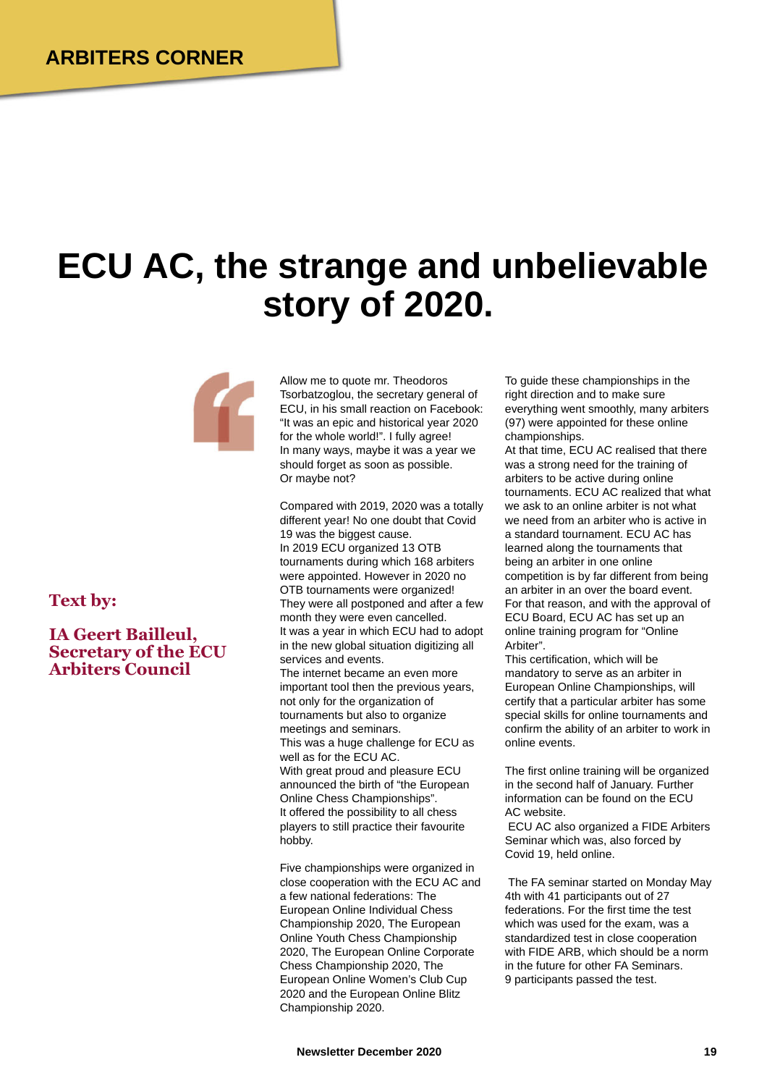## **ECU AC, the strange and unbelievable story of 2020.**



**Text by:**

## **IA Geert Bailleul, Secretary of the ECU Arbiters Council**

Allow me to quote mr. Theodoros Tsorbatzoglou, the secretary general of ECU, in his small reaction on Facebook: "It was an epic and historical year 2020 for the whole world!". I fully agree! In many ways, maybe it was a year we should forget as soon as possible. Or maybe not?

Compared with 2019, 2020 was a totally different year! No one doubt that Covid 19 was the biggest cause. In 2019 ECU organized 13 OTB tournaments during which 168 arbiters were appointed. However in 2020 no OTB tournaments were organized! They were all postponed and after a few month they were even cancelled. It was a year in which ECU had to adopt in the new global situation digitizing all services and events. The internet became an even more important tool then the previous years, not only for the organization of tournaments but also to organize meetings and seminars. This was a huge challenge for ECU as well as for the ECU AC. With great proud and pleasure ECU announced the birth of "the European Online Chess Championships". It offered the possibility to all chess players to still practice their favourite hobby.

Five championships were organized in close cooperation with the ECU AC and a few national federations: The European Online Individual Chess Championship 2020, The European Online Youth Chess Championship 2020, The European Online Corporate Chess Championship 2020, The European Online Women's Club Cup 2020 and the European Online Blitz Championship 2020.

To guide these championships in the right direction and to make sure everything went smoothly, many arbiters (97) were appointed for these online championships.

At that time, ECU AC realised that there was a strong need for the training of arbiters to be active during online tournaments. ECU AC realized that what we ask to an online arbiter is not what we need from an arbiter who is active in a standard tournament. ECU AC has learned along the tournaments that being an arbiter in one online competition is by far different from being an arbiter in an over the board event. For that reason, and with the approval of ECU Board, ECU AC has set up an online training program for "Online Arbiter".

This certification, which will be mandatory to serve as an arbiter in European Online Championships, will certify that a particular arbiter has some special skills for online tournaments and confirm the ability of an arbiter to work in online events.

The first online training will be organized in the second half of January. Further information can be found on the ECU AC website.

ECU AC also organized a FIDE Arbiters Seminar which was, also forced by Covid 19, held online.

The FA seminar started on Monday May 4th with 41 participants out of 27 federations. For the first time the test which was used for the exam, was a standardized test in close cooperation with FIDE ARB, which should be a norm in the future for other FA Seminars. 9 participants passed the test.